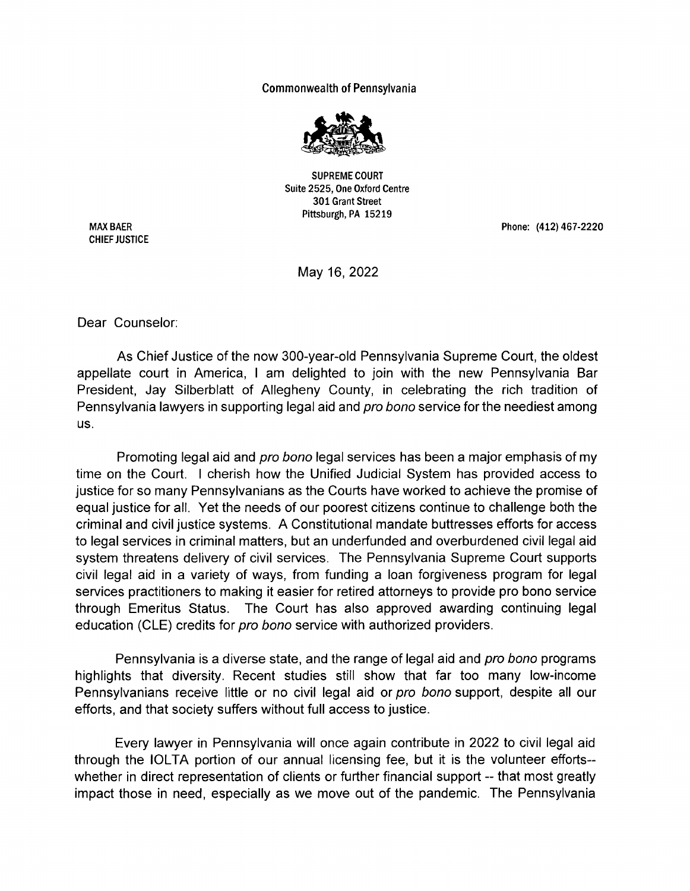## Commonwealth of Pennsylvania



SUPREME COURT Suite 2525, One Oxford Centre 301 Grant Street Pittsburgh, PA 15219

MAX BAER CHIEF JUSTICE Phone: (412) 467-2220

May 16, 2022

Dear Counselor:

As Chief Justice of the now 300-year-old Pennsylvania Supreme Court, the oldest appellate court in America, I am delighted to join with the new Pennsylvania Bar President, Jay Silberblatt of Allegheny County, in celebrating the rich tradition of Pennsylvania lawyers in supporting legal aid and *pro bono* service for the neediest among us.

Promoting legal aid and *pro bono* legal services has been a major emphasis of my time on the Court. I cherish how the Unified Judicial System has provided access to justice for so many Pennsylvanians as the Courts have worked to achieve the promise of equal justice for all. Yet the needs of our poorest citizens continue to challenge both the criminal and civil justice systems. A Constitutional mandate buttresses efforts for access to legal services in criminal matters, but an underfunded and overburdened civil legal aid system threatens delivery of civil services. The Pennsylvania Supreme Court supports civil legal aid in a variety of ways, from funding a loan forgiveness program for legal services practitioners to making it easier for retired attorneys to provide pro bono service through Emeritus Status. The Court has also approved awarding continuing legal education (CLE) credits for pro bono service with authorized providers.

Pennsylvania is a diverse state, and the range of legal aid and *pro bono* programs highlights that diversity. Recent studies still show that far too many low-income Pennsylvanians receive little or no civil legal aid or *pro bono* support, despite all our efforts, and that society suffers without full access to justice.

Every lawyer in Pennsylvania will once again contribute in 2022 to civil legal aid through the IOLTA portion of our annual licensing fee, but it is the volunteer efforts-whether in direct representation of clients or further financial support -- that most greatly impact those in need, especially as we move out of the pandemic. The Pennsylvania